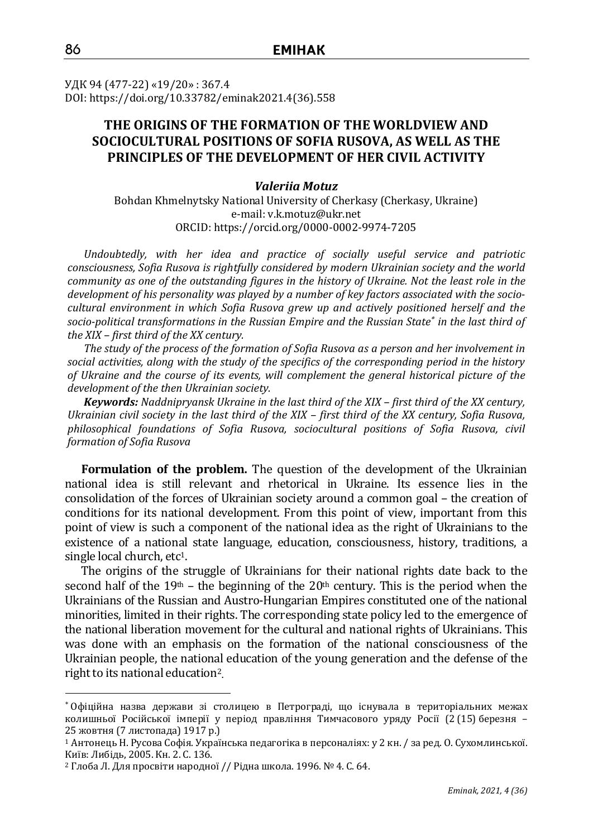УДК 94 (477-22) «19/20» : 367.4 DOI: https://doi.org/10.33782/eminak2021.4(36).558

# **THE ORIGINS OF THE FORMATION OF THE WORLDVIEW AND SOCIOCULTURAL POSITIONS OF SOFIA RUSOVA, AS WELL AS THE PRINCIPLES OF THE DEVELOPMENT OF HER CIVIL ACTIVITY**

## *Valeriia Motuz*

Bohdan Khmelnytsky National University of Cherkasy (Cherkasy, Ukraine) e-mail: v.k.motuz@ukr.net ORCID: https://orcid.org/0000-0002-9974-7205

*Undoubtedly, with her idea and practice of socially useful service and patriotic consciousness, Sofia Rusova is rightfully considered by modern Ukrainian society and the world community as one of the outstanding figures in the history of Ukraine. Not the least role in the development of his personality was played by a number of key factors associated with the sociocultural environment in which Sofia Rusova grew up and actively positioned herself and the socio-political transformations in the Russian Empire and the Russian State in the last third of the XIX – first third of the XX century.*

*The study of the process of the formation of Sofia Rusova as a person and her involvement in social activities, along with the study of the specifics of the corresponding period in the history of Ukraine and the course of its events, will complement the general historical picture of the development of the then Ukrainian society.*

*Keywords: Naddnipryansk Ukraine in the last third of the XIX – first third of the XX century, Ukrainian civil society in the last third of the XIX – first third of the XX century, Sofia Rusova, philosophical foundations of Sofia Rusova, sociocultural positions of Sofia Rusova, civil formation of Sofia Rusova*

**Formulation of the problem.** The question of the development of the Ukrainian national idea is still relevant and rhetorical in Ukraine. Its essence lies in the consolidation of the forces of Ukrainian society around a common goal – the creation of conditions for its national development. From this point of view, important from this point of view is such a component of the national idea as the right of Ukrainians to the existence of a national state language, education, consciousness, history, traditions, a single local church, etc<sup>1</sup>.

The origins of the struggle of Ukrainians for their national rights date back to the second half of the 19<sup>th</sup> – the beginning of the 20<sup>th</sup> century. This is the period when the Ukrainians of the Russian and Austro-Hungarian Empires constituted one of the national minorities, limited in their rights. The corresponding state policy led to the emergence of the national liberation movement for the cultural and national rights of Ukrainians. This was done with an emphasis on the formation of the national consciousness of the Ukrainian people, the national education of the young generation and the defense of the right to its national education<sup>2</sup> **.**

Офіційна назва держави зі столицею в Петрограді, що існувала в територіальних межах колишньої Російської імперії у період правління Тимчасового уряду Росії (2 (15) березня – 25 жовтня (7 листопада) 1917 р.)

<sup>1</sup> Антонець Н. Русова Софія. Українська педагогіка в персоналіях: у 2 кн. / за ред. О. Сухомлинської. Київ: Либідь, 2005. Кн. 2. С. 136.

<sup>2</sup> Глоба Л. Для просвіти народної // Рідна школа. 1996. № 4. С. 64.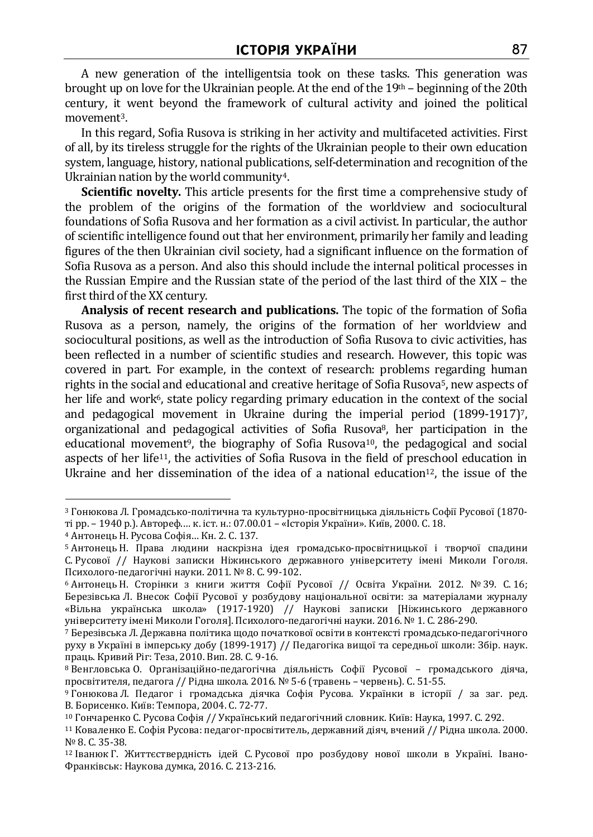A new generation of the intelligentsia took on these tasks. This generation was brought up on love for the Ukrainian people. At the end of the 19th – beginning of the 20th century, it went beyond the framework of cultural activity and joined the political movement3.

In this regard, Sofia Rusova is striking in her activity and multifaceted activities. First of all, by its tireless struggle for the rights of the Ukrainian people to their own education system, language, history, national publications, self-determination and recognition of the Ukrainian nation by the world community<sup>4</sup>.

**Scientific novelty.** This article presents for the first time a comprehensive study of the problem of the origins of the formation of the worldview and sociocultural foundations of Sofia Rusova and her formation as a civil activist. In particular, the author of scientific intelligence found out that her environment, primarily her family and leading figures of the then Ukrainian civil society, had a significant influence on the formation of Sofia Rusova as a person. And also this should include the internal political processes in the Russian Empire and the Russian state of the period of the last third of the XIX – the first third of the XX century.

**Analysis of recent research and publications.** The topic of the formation of Sofia Rusova as a person, namely, the origins of the formation of her worldview and sociocultural positions, as well as the introduction of Sofia Rusova to civic activities, has been reflected in a number of scientific studies and research. However, this topic was covered in part. For example, in the context of research: problems regarding human rights in the social and educational and creative heritage of Sofia Rusova<sup>5</sup>, new aspects of her life and work<sup> $6$ </sup>, state policy regarding primary education in the context of the social and pedagogical movement in Ukraine during the imperial period  $(1899-1917)$ <sup>7</sup>, organizational and pedagogical activities of Sofia Rusova8, her participation in the educational movement<sup>9</sup>, the biography of Sofia Rusova<sup>10</sup>, the pedagogical and social aspects of her life11, the activities of Sofia Rusova in the field of preschool education in Ukraine and her dissemination of the idea of a national education<sup>12</sup>, the issue of the

<sup>3</sup> Гонюкова Л. Громадсько-політична та культурно-просвітницька діяльність Софії Русової (1870 ті рр. – 1940 р.). Автореф.… к. іст. н.: 07.00.01 – «Історія України». Київ, 2000. С. 18.

<sup>4</sup> Антонець Н. Русова Софія… Кн. 2. С. 137.

<sup>5</sup> Антонець Н. Права людини наскрізна ідея громадсько-просвітницької і творчої спадини С. Русової // Наукові записки Ніжинського державного університету імені Миколи Гоголя. Психолого-педагогічні науки. 2011. № 8. C. 99-102.

<sup>6</sup> Антонець Н. Сторінки з книги життя Софії Русової // Освіта України. 2012. № 39. С. 16; Березівська Л. Внесок Софії Русової у розбудову національної освіти: за матеріалами журналу «Вільна українська школа» (1917-1920) // Наукові записки [Ніжинського державного університету імені Миколи Гоголя]. Психолого-педагогічні науки. 2016. № 1. С. 286-290.

<sup>7</sup> Березівська Л. Державна політика щодо початкової освіти в контексті громадсько-педагогічного руху в Україні в імперську добу (1899-1917) // Педагогіка вищої та середньої школи: Збір. наук. праць. Кривий Ріг: Теза, 2010. Вип. 28. С. 9-16.

<sup>8</sup> Венгловська О. Організаційно-педагогічна діяльність Софії Русової – громадського діяча, просвітителя, педагога // Рідна школа. 2016. № 5-6 (травень – червень). С. 51-55.

<sup>9</sup> Гонюкова Л. Педагог і громадська діячка Софія Русова*.* Українки в історії / за заг. ред. В. Борисенко. Київ: Темпора, 2004. С. 72-77.

<sup>10</sup> Гончаренко С. Русова Софія // Український педагогічний словник. Київ: Наука, 1997. С. 292.

<sup>11</sup> Коваленко Е. Софія Русова: педагог-просвітитель, державний діяч, вчений // Рідна школа. 2000.  $N<sup>o</sup>$  8. С. 35-38.

<sup>12</sup> Іванюк Г. Життєствердність ідей С. Русової про розбудову нової школи в Україні. Івано-Франківськ: Наукова думка, 2016. С. 213-216.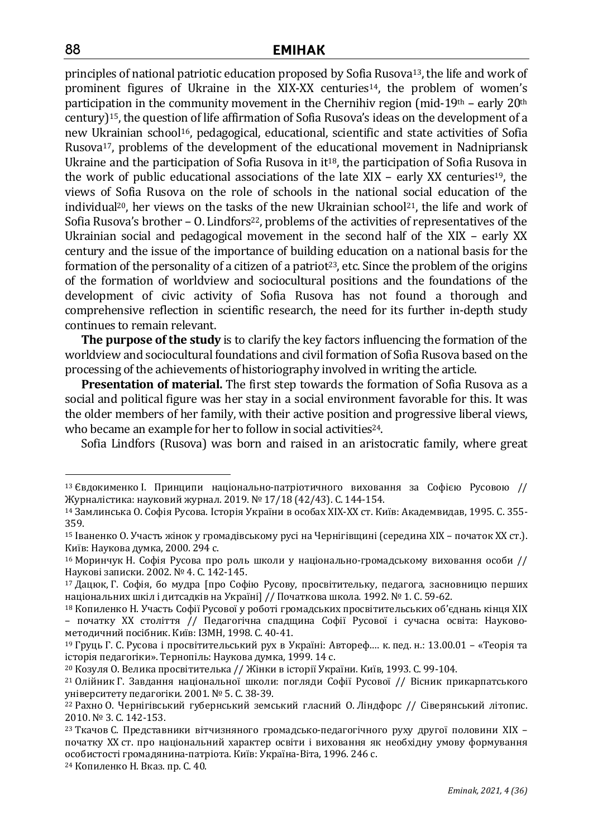principles of national patriotic education proposed by Sofia Rusova13, the life and work of prominent figures of Ukraine in the XIX-XX centuries<sup>14</sup>, the problem of women's participation in the community movement in the Chernihiv region (mid-19th – early 20<sup>th</sup> century)15, the question of life affirmation of Sofia Rusova's ideas on the development of a new Ukrainian school<sup>16</sup>, pedagogical, educational, scientific and state activities of Sofia Rusova17, problems of the development of the educational movement in Nadnipriansk Ukraine and the participation of Sofia Rusova in  $it<sup>18</sup>$ , the participation of Sofia Rusova in the work of public educational associations of the late XIX – early XX centuries<sup>19</sup>, the views of Sofia Rusova on the role of schools in the national social education of the individual<sup>20</sup>, her views on the tasks of the new Ukrainian school<sup>21</sup>, the life and work of Sofia Rusova's brother  $-$  0. Lindfors<sup>22</sup>, problems of the activities of representatives of the Ukrainian social and pedagogical movement in the second half of the XIX – early XX century and the issue of the importance of building education on a national basis for the formation of the personality of a citizen of a patriot<sup>23</sup>, etc. Since the problem of the origins of the formation of worldview and sociocultural positions and the foundations of the development of civic activity of Sofia Rusova has not found a thorough and comprehensive reflection in scientific research, the need for its further in-depth study continues to remain relevant.

**The purpose of the study** is to clarify the key factors influencing the formation of the worldview and sociocultural foundations and civil formation of Sofia Rusova based on the processing of the achievements of historiography involved in writing the article.

**Presentation of material.** The first step towards the formation of Sofia Rusova as a social and political figure was her stay in a social environment favorable for this. It was the older members of her family, with their active position and progressive liberal views, who became an example for her to follow in social activities<sup>24</sup>.

Sofia Lindfors (Rusova) was born and raised in an aristocratic family, where great

<sup>13</sup> Євдокименко І. Принципи національно-патріотичного виховання за Софією Русовою // Журналістика: науковий журнал. 2019. № 17/18 (42/43). С. 144-154.

<sup>14</sup> Замлинська О. Софія Русова. Історія України в особах ХІХ-ХХ ст. Київ: Академвидав, 1995. С. 355- 359.

<sup>15</sup> Іваненко О. Участь жінок у громадівському русі на Чернігівщині (середина ХІХ – початок ХХ ст.). Київ: Наукова думка, 2000. 294 с.

<sup>16</sup> Моринчук Н. Софія Русова про роль школи у національно-громадському виховання особи // Наукові записки. 2002. № 4. С. 142-145.

<sup>17</sup> Дацюк, Г. Софія, бо мудра [про Софію Русову, просвітительку, педагога, засновницю перших національних шкіл і дитсадків на Україні] // Початкова школа*.* 1992. № 1. С. 59-62.

<sup>18</sup> Копиленко Н. Участь Софії Русової у роботі громадських просвітительських об'єднань кінця ХІХ – початку ХХ століття // Педагогічна спадщина Софії Русової і сучасна освіта: Науковометодичний посібник. Київ: ІЗМН, 1998. С. 40-41.

<sup>19</sup> Груць Г. С. Русова і просвітительський рух в Україні: Автореф.… к. пед. н.: 13.00.01 – «Теорія та історія педагогіки». Тернопіль: Наукова думка, 1999. 14 с.

<sup>20</sup> Козуля О. Велика просвітителька // Жінки в історії України. Київ, 1993. С. 99-104.

<sup>21</sup> Олійник Г. Завдання національної школи: погляди Софії Русової // Вісник прикарпатського університету педагогіки. 2001. № 5. С. 38-39.

<sup>22</sup> Рахно О. Чернігівський губернський земський гласний О. Ліндфорс // Сіверянський літопис. 2010. № 3. С. 142-153.

<sup>23</sup> Ткачов С. Представники вітчизняного громадсько-педагогічного руху другої половини ХІХ – початку ХХ ст. про національний характер освіти і виховання як необхідну умову формування особистості громадянина-патріота. Київ: Україна-Віта, 1996. 246 с.

<sup>24</sup> Копиленко Н. Вказ. пр. С. 40.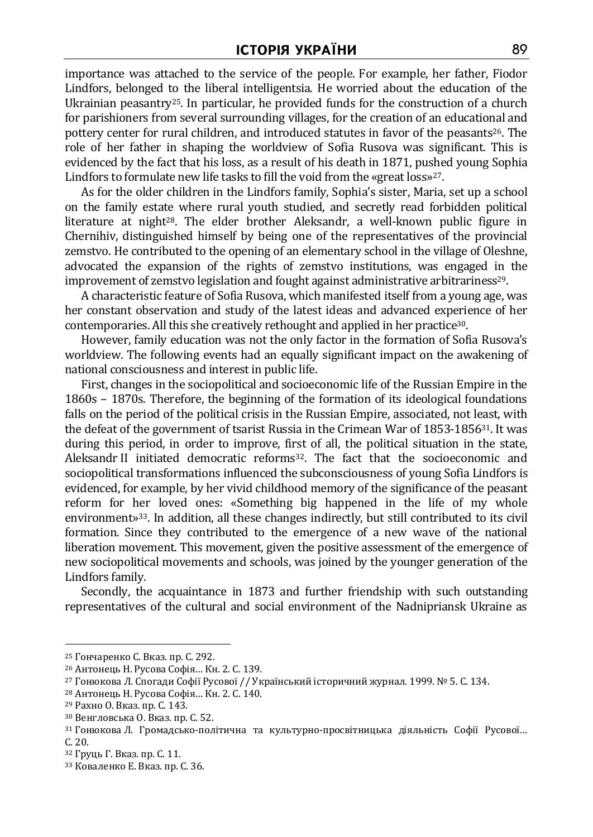importance was attached to the service of the people. For example, her father, Fiodor Lindfors, belonged to the liberal intelligentsia. He worried about the education of the Ukrainian peasantry25. In particular, he provided funds for the construction of a church for parishioners from several surrounding villages, for the creation of an educational and pottery center for rural children, and introduced statutes in favor of the peasants<sup>26</sup>. The role of her father in shaping the worldview of Sofia Rusova was significant. This is evidenced by the fact that his loss, as a result of his death in 1871, pushed young Sophia Lindfors to formulate new life tasks to fill the void from the «great loss»<sup>27</sup>.

As for the older children in the Lindfors family, Sophia's sister, Maria, set up a school on the family estate where rural youth studied, and secretly read forbidden political literature at night<sup>28</sup>. The elder brother Aleksandr, a well-known public figure in Chernihiv, distinguished himself by being one of the representatives of the provincial zemstvo. He contributed to the opening of an elementary school in the village of Oleshne, advocated the expansion of the rights of zemstvo institutions, was engaged in the improvement of zemstvo legislation and fought against administrative arbitrariness29.

A characteristic feature of Sofia Rusova, which manifested itself from a young age, was her constant observation and study of the latest ideas and advanced experience of her contemporaries. All this she creatively rethought and applied in her practice30.

However, family education was not the only factor in the formation of Sofia Rusova's worldview. The following events had an equally significant impact on the awakening of national consciousness and interest in public life.

First, changes in the sociopolitical and socioeconomic life of the Russian Empire in the 1860s – 1870s. Therefore, the beginning of the formation of its ideological foundations falls on the period of the political crisis in the Russian Empire, associated, not least, with the defeat of the government of tsarist Russia in the Crimean War of 1853-1856<sup>31</sup>. It was during this period, in order to improve, first of all, the political situation in the state, Aleksandr II initiated democratic reforms<sup>32</sup>. The fact that the socioeconomic and sociopolitical transformations influenced the subconsciousness of young Sofia Lindfors is evidenced, for example, by her vivid childhood memory of the significance of the peasant reform for her loved ones: «Something big happened in the life of my whole environment»33. In addition, all these changes indirectly, but still contributed to its civil formation. Since they contributed to the emergence of a new wave of the national liberation movement. This movement, given the positive assessment of the emergence of new sociopolitical movements and schools, was joined by the younger generation of the Lindfors family.

Secondly, the acquaintance in 1873 and further friendship with such outstanding representatives of the cultural and social environment of the Nadnipriansk Ukraine as

<sup>25</sup> Гончаренко С. Вказ. пр. С. 292.

<sup>26</sup> Антонець Н. Русова Софія… Кн. 2. С. 139.

<sup>27</sup> Гонюкова Л. Спогади Софії Русової // Український історичний журнал*.* 1999. № 5. С. 134.

<sup>28</sup> Антонець Н. Русова Софія… Кн. 2. С. 140.

<sup>29</sup> Рахно О. Вказ. пр. С. 143.

<sup>30</sup> Венгловська О. Вказ. пр. С. 52.

<sup>31</sup> Гонюкова Л. Громадсько-політична та культурно-просвітницька діяльність Софії Русової… С. 20.

<sup>32</sup> Груць Г. Вказ. пр. С. 11.

<sup>33</sup> Коваленко Е. Вказ. пр. С. 36.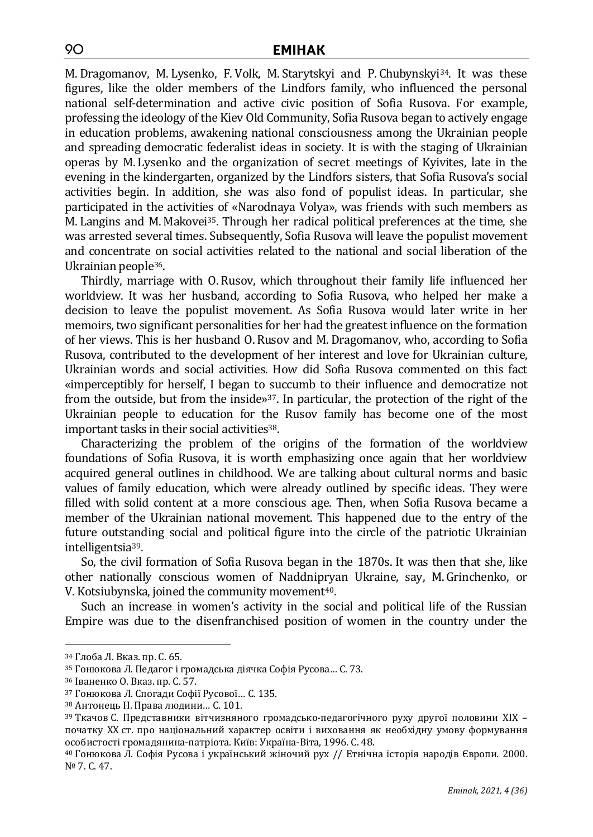M.Dragomanov, M. Lysenko, F. Volk, M. Starytskyi and P. Chubynskyi <sup>34</sup>. It was these figures, like the older members of the Lindfors family, who influenced the personal national self-determination and active civic position of Sofia Rusova. For example, professing the ideology of the Kiev Old Community, Sofia Rusova began to actively engage in education problems, awakening national consciousness among the Ukrainian people and spreading democratic federalist ideas in society. It is with the staging of Ukrainian operas by M. Lysenko and the organization of secret meetings of Kyivites, late in the evening in the kindergarten, organized by the Lindfors sisters, that Sofia Rusova's social activities begin. In addition, she was also fond of populist ideas. In particular, she participated in the activities of «Narodnaya Volya», was friends with such members as M. Langins and M. Makovei <sup>35</sup>. Through her radical political preferences at the time, she was arrested several times. Subsequently, Sofia Rusova will leave the populist movement and concentrate on social activities related to the national and social liberation of the Ukrainian people36.

Thirdly, marriage with O. Rusov, which throughout their family life influenced her worldview. It was her husband, according to Sofia Rusova, who helped her make a decision to leave the populist movement. As Sofia Rusova would later write in her memoirs, two significant personalities for her had the greatest influence on the formation of her views. This is her husband O. Rusov and M.Dragomanov, who, according to Sofia Rusova, contributed to the development of her interest and love for Ukrainian culture, Ukrainian words and social activities. How did Sofia Rusova commented on this fact «imperceptibly for herself, I began to succumb to their influence and democratize not from the outside, but from the inside»37. In particular, the protection of the right of the Ukrainian people to education for the Rusov family has become one of the most important tasks in their social activities<sup>38</sup>.

Characterizing the problem of the origins of the formation of the worldview foundations of Sofia Rusova, it is worth emphasizing once again that her worldview acquired general outlines in childhood. We are talking about cultural norms and basic values of family education, which were already outlined by specific ideas. They were filled with solid content at a more conscious age. Then, when Sofia Rusova became a member of the Ukrainian national movement. This happened due to the entry of the future outstanding social and political figure into the circle of the patriotic Ukrainian intelligentsia39.

So, the civil formation of Sofia Rusova began in the 1870s. It was then that she, like other nationally conscious women of Naddnipryan Ukraine, say, M.Grinchenko, or V. Kotsiubynska, joined the community movement<sup>40</sup>.

Such an increase in women's activity in the social and political life of the Russian Empire was due to the disenfranchised position of women in the country under the

<sup>34</sup> Глоба Л. Вказ. пр. С. 65.

<sup>35</sup> Гонюкова Л. Педагог і громадська діячка Софія Русова*…* С. 73.

<sup>36</sup> Іваненко О. Вказ. пр. С. 57.

<sup>37</sup> Гонюкова Л. Спогади Софії Русової… С. 135.

<sup>38</sup> Антонець Н. Права людини… C. 101.

<sup>&</sup>lt;sup>39</sup> Ткачов С. Представники вітчизняного громадсько-педагогічного руху другої половини XIX – початку ХХ ст. про національний характер освіти і виховання як необхідну умову формування особистості громадянина-патріота. Київ: Україна-Віта, 1996. С. 48.

<sup>40</sup> Гонюкова Л. Софія Русова і український жіночий рух // Етнічна історія народів Європи. 2000. № 7. С. 47.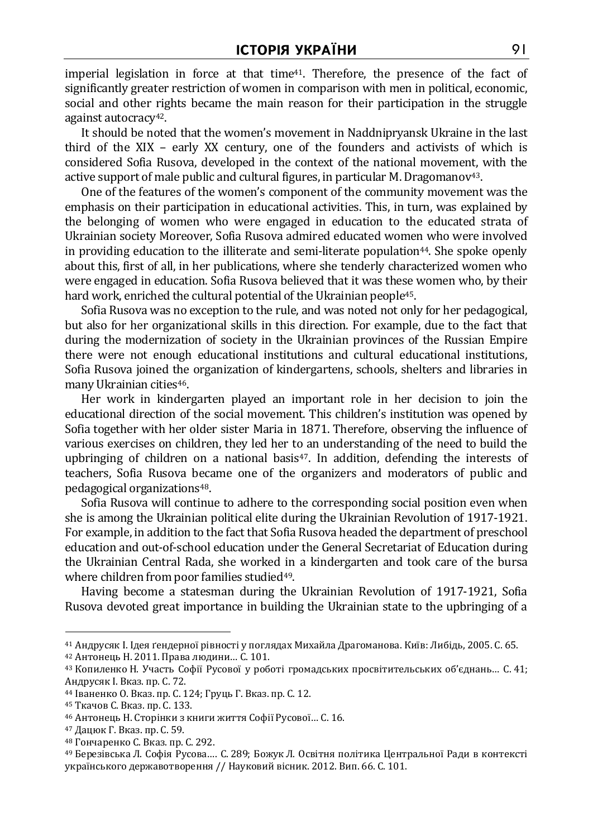imperial legislation in force at that time $41$ . Therefore, the presence of the fact of significantly greater restriction of women in comparison with men in political, economic, social and other rights became the main reason for their participation in the struggle against autocracy42.

It should be noted that the women's movement in Naddnipryansk Ukraine in the last third of the XIX – early XX century, one of the founders and activists of which is considered Sofia Rusova, developed in the context of the national movement, with the active support of male public and cultural figures, in particular M. Dragomanov<sup>43</sup>.

One of the features of the women's component of the community movement was the emphasis on their participation in educational activities. This, in turn, was explained by the belonging of women who were engaged in education to the educated strata of Ukrainian society Moreover, Sofia Rusova admired educated women who were involved in providing education to the illiterate and semi-literate population<sup>44</sup>. She spoke openly about this, first of all, in her publications, where she tenderly characterized women who were engaged in education. Sofia Rusova believed that it was these women who, by their hard work, enriched the cultural potential of the Ukrainian people<sup>45</sup>.

Sofia Rusova was no exception to the rule, and was noted not only for her pedagogical, but also for her organizational skills in this direction. For example, due to the fact that during the modernization of society in the Ukrainian provinces of the Russian Empire there were not enough educational institutions and cultural educational institutions, Sofia Rusova joined the organization of kindergartens, schools, shelters and libraries in many Ukrainian cities<sup>46</sup>.

Her work in kindergarten played an important role in her decision to join the educational direction of the social movement. This children's institution was opened by Sofia together with her older sister Maria in 1871. Therefore, observing the influence of various exercises on children, they led her to an understanding of the need to build the upbringing of children on a national basis $47$ . In addition, defending the interests of teachers, Sofia Rusova became one of the organizers and moderators of public and pedagogical organizations48.

Sofia Rusova will continue to adhere to the corresponding social position even when she is among the Ukrainian political elite during the Ukrainian Revolution of 1917-1921. For example, in addition to the fact that Sofia Rusova headed the department of preschool education and out-of-school education under the General Secretariat of Education during the Ukrainian Central Rada, she worked in a kindergarten and took care of the bursa where children from poor families studied<sup>49</sup>.

Having become a statesman during the Ukrainian Revolution of 1917-1921, Sofia Rusova devoted great importance in building the Ukrainian state to the upbringing of a

<sup>41</sup> Андрусяк І. Ідея ґендерної рівності у поглядах Михайла Драгоманова. Київ: Либідь, 2005. С. 65.

<sup>42</sup> Антонець Н. 2011. Права людини… C. 101.

<sup>43</sup> Копиленко Н. Участь Софії Русової у роботі громадських просвітительських об'єднань… С. 41; Андрусяк І. Вказ. пр. С. 72.

<sup>44</sup> Іваненко О. Вказ. пр. С. 124; Груць Г. Вказ. пр. С. 12.

<sup>45</sup> Ткачов С. Вказ. пр. С. 133.

<sup>46</sup> Антонець Н. Сторінки з книги життя Софії Русової… С. 16.

<sup>47</sup> Дацюк Г. Вказ. пр. С. 59.

<sup>48</sup> Гончаренко С. Вказ. пр. С. 292.

<sup>49</sup> Березівська Л. Софія Русова…. С. 289; Божук Л. Освітня політика Центральної Ради в контексті українського державотворення // Науковий вісник. 2012. Вип. 66. С. 101.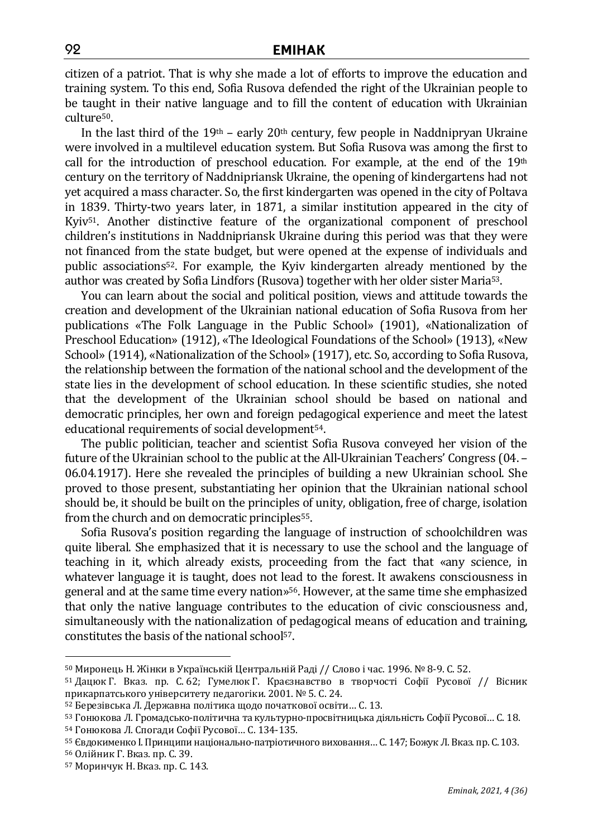citizen of a patriot. That is why she made a lot of efforts to improve the education and training system. To this end, Sofia Rusova defended the right of the Ukrainian people to be taught in their native language and to fill the content of education with Ukrainian culture50.

In the last third of the  $19<sup>th</sup>$  – early  $20<sup>th</sup>$  century, few people in Naddnipryan Ukraine were involved in a multilevel education system. But Sofia Rusova was among the first to call for the introduction of preschool education. For example, at the end of the  $19<sup>th</sup>$ century on the territory of Naddnipriansk Ukraine, the opening of kindergartens had not yet acquired a mass character. So, the first kindergarten was opened in the city of Poltava in 1839. Thirty-two years later, in 1871, a similar institution appeared in the city of Kyiv51. Another distinctive feature of the organizational component of preschool children's institutions in Naddnipriansk Ukraine during this period was that they were not financed from the state budget, but were opened at the expense of individuals and public associations52. For example, the Kyiv kindergarten already mentioned by the author was created by Sofia Lindfors (Rusova) together with her older sister Maria53.

You can learn about the social and political position, views and attitude towards the creation and development of the Ukrainian national education of Sofia Rusova from her publications «The Folk Language in the Public School» (1901), «Nationalization of Preschool Education» (1912), «The Ideological Foundations of the School» (1913), «New School» (1914), «Nationalization of the School» (1917), etc. So, according to Sofia Rusova, the relationship between the formation of the national school and the development of the state lies in the development of school education. In these scientific studies, she noted that the development of the Ukrainian school should be based on national and democratic principles, her own and foreign pedagogical experience and meet the latest educational requirements of social development<sup>54</sup>.

The public politician, teacher and scientist Sofia Rusova conveyed her vision of the future of the Ukrainian school to the public at the All-Ukrainian Teachers' Congress (04. – 06.04.1917). Here she revealed the principles of building a new Ukrainian school. She proved to those present, substantiating her opinion that the Ukrainian national school should be, it should be built on the principles of unity, obligation, free of charge, isolation from the church and on democratic principles<sup>55</sup>.

Sofia Rusova's position regarding the language of instruction of schoolchildren was quite liberal. She emphasized that it is necessary to use the school and the language of teaching in it, which already exists, proceeding from the fact that «any science, in whatever language it is taught, does not lead to the forest. It awakens consciousness in general and at the same time every nation»56. However, at the same time she emphasized that only the native language contributes to the education of civic consciousness and, simultaneously with the nationalization of pedagogical means of education and training, constitutes the basis of the national school57.

 $50$  Миронець Н. Жінки в Українській Центральній Раді // Слово і час. 1996. № 8-9. С. 52.

<sup>51</sup> Дацюк Г. Вказ. пр. С. 62; Гумелюк Г. Краєзнавство в творчості Софії Русової // Вісник прикарпатського університету педагогіки. 2001. № 5. С. 24.

<sup>52</sup> Березівська Л. Державна політика щодо початкової освіти… С. 13.

<sup>53</sup> Гонюкова Л. Громадсько-політична та культурно-просвітницька діяльність Софії Русової… С. 18.

<sup>54</sup> Гонюкова Л. Спогади Софії Русової… С. 134-135.

<sup>55</sup> Євдокименко І. Принципи національно-патріотичного виховання... С. 147; Божук Л. Вказ. пр. С. 103.

<sup>56</sup> Олійник Г. Вказ. пр. С. 39.

<sup>57</sup> Моринчук Н. Вказ. пр. С. 143.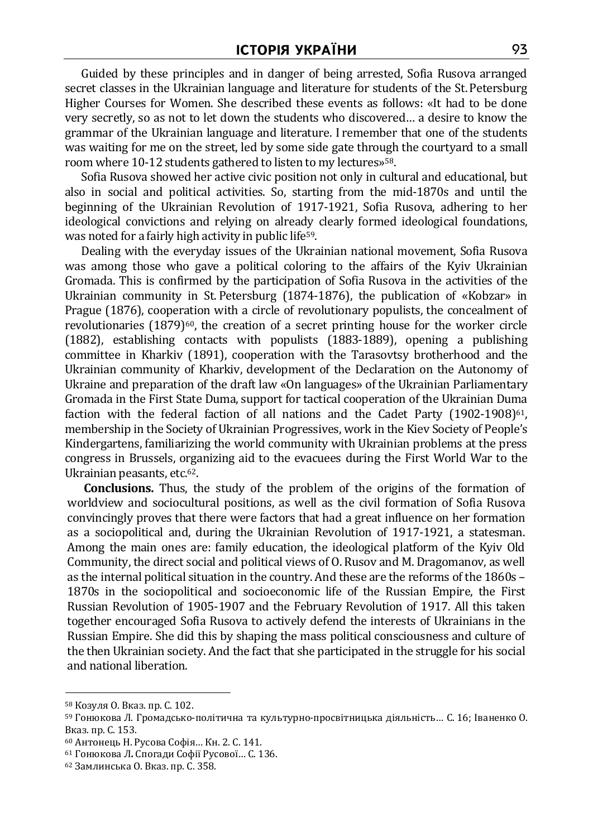Guided by these principles and in danger of being arrested, Sofia Rusova arranged secret classes in the Ukrainian language and literature for students of the St. Petersburg Higher Courses for Women. She described these events as follows: «It had to be done very secretly, so as not to let down the students who discovered… a desire to know the grammar of the Ukrainian language and literature. I remember that one of the students was waiting for me on the street, led by some side gate through the courtyard to a small room where 10-12 students gathered to listen to my lectures»58.

Sofia Rusova showed her active civic position not only in cultural and educational, but also in social and political activities. So, starting from the mid-1870s and until the beginning of the Ukrainian Revolution of 1917-1921, Sofia Rusova, adhering to her ideological convictions and relying on already clearly formed ideological foundations, was noted for a fairly high activity in public life<sup>59</sup>.

Dealing with the everyday issues of the Ukrainian national movement, Sofia Rusova was among those who gave a political coloring to the affairs of the Kyiv Ukrainian Gromada. This is confirmed by the participation of Sofia Rusova in the activities of the Ukrainian community in St. Petersburg (1874-1876), the publication of «Kobzar» in Prague (1876), cooperation with a circle of revolutionary populists, the concealment of revolutionaries  $(1879)^{60}$ , the creation of a secret printing house for the worker circle (1882), establishing contacts with populists (1883-1889), opening a publishing committee in Kharkiv (1891), cooperation with the Tarasovtsy brotherhood and the Ukrainian community of Kharkiv, development of the Declaration on the Autonomy of Ukraine and preparation of the draft law «On languages» of the Ukrainian Parliamentary Gromada in the First State Duma, support for tactical cooperation of the Ukrainian Duma faction with the federal faction of all nations and the Cadet Party  $(1902-1908)^{61}$ , membership in the Society of Ukrainian Progressives, work in the Kiev Society of People's Kindergartens, familiarizing the world community with Ukrainian problems at the press congress in Brussels, organizing aid to the evacuees during the First World War to the Ukrainian peasants, etc.62.

**Conclusions.** Thus, the study of the problem of the origins of the formation of worldview and sociocultural positions, as well as the civil formation of Sofia Rusova convincingly proves that there were factors that had a great influence on her formation as a sociopolitical and, during the Ukrainian Revolution of 1917-1921, a statesman. Among the main ones are: family education, the ideological platform of the Kyiv Old Community, the direct social and political views of O. Rusov and M.Dragomanov, as well as the internal political situation in the country. And these are the reforms of the 1860s – 1870s in the sociopolitical and socioeconomic life of the Russian Empire, the First Russian Revolution of 1905-1907 and the February Revolution of 1917. All this taken together encouraged Sofia Rusova to actively defend the interests of Ukrainians in the Russian Empire. She did this by shaping the mass political consciousness and culture of the then Ukrainian society. And the fact that she participated in the struggle for his social and national liberation.

<sup>58</sup> Козуля О. Вказ. пр. С. 102.

<sup>59</sup> Гонюкова Л. Громадсько-політична та культурно-просвітницька діяльність… С. 16; Іваненко О. Вказ. пр. С. 153.

<sup>60</sup> Антонець Н. Русова Софія… Кн. 2. С. 141.

<sup>61</sup> Гонюкова Л**.** Спогади Софії Русової… С. 136.

<sup>62</sup> Замлинська О. Вказ. пр. С. 358.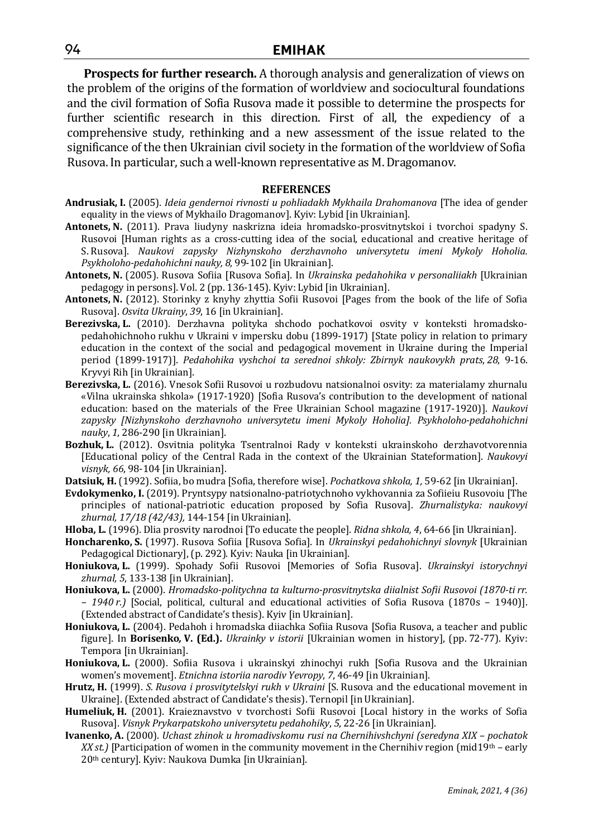**Prospects for further research.** A thorough analysis and generalization of views on the problem of the origins of the formation of worldview and sociocultural foundations and the civil formation of Sofia Rusova made it possible to determine the prospects for further scientific research in this direction. First of all, the expediency of a comprehensive study, rethinking and a new assessment of the issue related to the significance of the then Ukrainian civil society in the formation of the worldview of Sofia Rusova. In particular, such a well-known representative as M.Dragomanov.

#### **REFERENCES**

- **Andrusiak, I.** (2005). *Ideia gendernoi rivnosti u pohliadakh Mykhaila Drahomanova* [The idea of gender equality in the views of Mykhailo Dragomanov]. Kyiv: Lybid [in Ukrainian].
- **Antonets, N.** (2011). Prava liudyny naskrizna ideia hromadsko-prosvitnytskoi i tvorchoi spadyny S. Rusovoi [Human rights as a cross-cutting idea of the social, educational and creative heritage of S. Rusova]. *Naukovi zapysky Nizhynskoho derzhavnoho universytetu imeni Mykoly Hoholia. Psykholoho-pedahohichni nauky, 8,* 99-102 [in Ukrainian].
- **Antonets, N.** (2005). Rusova Sofiia [Rusova Sofia]. In *Ukrainska pedahohika v personaliiakh* [Ukrainian pedagogy in persons]. Vol. 2 (pp. 136-145). Kyiv: Lybid [in Ukrainian].
- **Antonets, N.** (2012). Storinky z knyhy zhyttia Sofii Rusovoi [Pages from the book of the life of Sofia Rusova]. *Osvita Ukrainy*, *39*, 16 [in Ukrainian].
- **Berezivska, L.** (2010). Derzhavna polityka shchodo pochatkovoi osvity v konteksti hromadskopedahohichnoho rukhu v Ukraini v impersku dobu (1899-1917) [State policy in relation to primary education in the context of the social and pedagogical movement in Ukraine during the Imperial period (1899-1917)]. *Pedahohika vyshchoi ta serednoi shkoly: Zbirnyk naukovykh prats*, *28*, 9-16. Kryvyi Rih [in Ukrainian].
- **Berezivska, L.** (2016). Vnesok Sofii Rusovoi u rozbudovu natsionalnoi osvity: za materialamy zhurnalu «Vilna ukrainska shkola» (1917-1920) [Sofia Rusova's contribution to the development of national education: based on the materials of the Free Ukrainian School magazine (1917-1920)]. *Naukovi zapysky [Nizhynskoho derzhavnoho universytetu imeni Mykoly Hoholia]. Psykholoho-pedahohichni nauky*, *1*, 286-290 [in Ukrainian].
- **Bozhuk, L.** (2012). Osvitnia polityka Tsentralnoi Rady v konteksti ukrainskoho derzhavotvorennia [Educational policy of the Central Rada in the context of the Ukrainian Stateformation]. *Naukovyi visnyk, 66*, 98-104 [in Ukrainian].
- **Datsiuk, H.** (1992). Sofiia, bo mudra [Sofia, therefore wise]. *Pochatkova shkola, 1,* 59-62 [in Ukrainian].
- **Evdokymenko, I.** (2019). Pryntsypy natsionalno-patriotychnoho vykhovannia za Sofiieiu Rusovoiu [The principles of national-patriotic education proposed by Sofia Rusova]. *Zhurnalistyka: naukovyi zhurnal, 17/18 (42/43),* 144-154 [in Ukrainian].
- **Hloba, L.** (1996). Dlia prosvity narodnoi [To educate the people]. *Ridna shkola, 4*, 64-66 [in Ukrainian].
- **Honcharenko, S.** (1997). Rusova Sofiia [Rusova Sofia]. In *Ukrainskyi pedahohichnyi slovnyk* [Ukrainian Pedagogical Dictionary], (p. 292). Kyiv: Nauka [in Ukrainian].
- **Honiukova, L.** (1999). Spohady Sofii Rusovoi [Memories of Sofia Rusova]. *Ukrainskyi istorychnyi zhurnal, 5*, 133-138 [in Ukrainian].
- **Honiukova, L.** (2000). *Hromadsko-politychna ta kulturno-prosvitnytska diialnist Sofii Rusovoi (1870-ti rr. – 1940 r.)* [Social, political, cultural and educational activities of Sofia Rusova (1870s – 1940)]. (Extended abstract of Candidate's thesis). Kyiv [in Ukrainian].
- **Honiukova, L.** (2004). Pedahoh i hromadska diiachka Sofiia Rusova [Sofia Rusova, a teacher and public figure]. In **Borisenko***,* **V. (Ed.).** *Ukrainky v istorii* [Ukrainian women in history], (pp. 72-77). Kyiv: Tempora [in Ukrainian].
- **Honiukova, L.** (2000). Sofiia Rusova i ukrainskyi zhinochyi rukh [Sofia Rusova and the Ukrainian women's movement]. *Etnichna istoriia narodiv Yevropy*, *7*, 46-49 [in Ukrainian].
- **Hrutz, H.** (1999). *S. Rusova i prosvitytelskyi rukh v Ukraini* [S. Rusova and the educational movement in Ukraine]. (Extended abstract of Candidate's thesis). Ternopil [in Ukrainian].
- **Humeliuk, H.** (2001). Kraieznavstvo v tvorchosti Sofii Rusovoi [Local history in the works of Sofia Rusova]. *Visnyk Prykarpatskoho universytetu pedahohiky*, *5*, 22-26 [in Ukrainian].
- **Ivanenko, A.** (2000). *Uchast zhinok u hromadivskomu rusi na Chernihivshchyni (seredyna XIX pochatok XX st.*) [Participation of women in the community movement in the Chernihiv region (mid19<sup>th</sup> – early 20th century]. Kyiv: Naukova Dumka [in Ukrainian].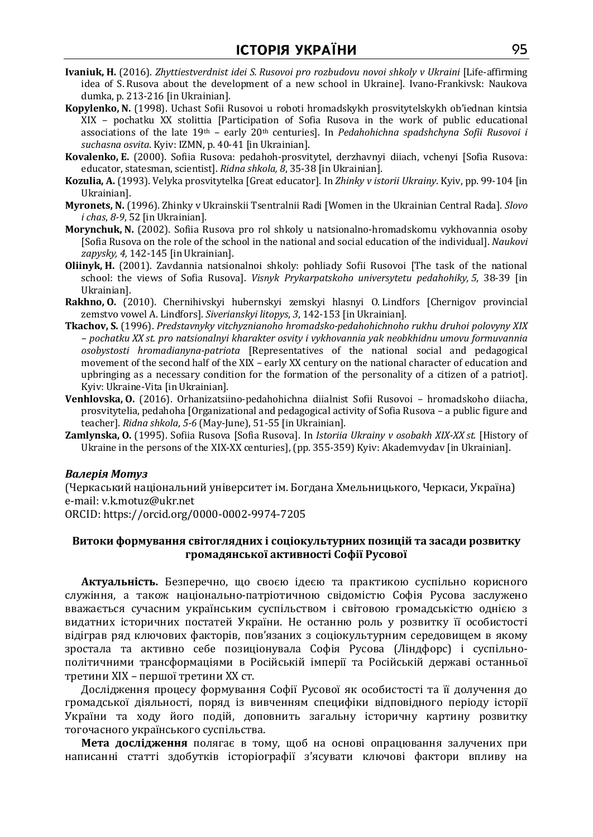- **Ivaniuk, H.** (2016). *Zhyttiestverdnist idei S. Rusovoi pro rozbudovu novoi shkoly v Ukraini* [Life-affirming idea of S. Rusova about the development of a new school in Ukraine]. Ivano-Frankivsk: Naukova dumka, p. 213-216 [in Ukrainian].
- **Kopylenko, N.** (1998). Uchast Sofii Rusovoi u roboti hromadskykh prosvitytelskykh ob'iednan kintsia XIX – pochatku XX stolittia [Participation of Sofia Rusova in the work of public educational associations of the late 19th – early 20th centuries]. In *Pedahohichna spadshchyna Sofii Rusovoi i suchasna osvita*. Kyiv: IZMN, p. 40-41 [in Ukrainian].
- **Kovalenko, E.** (2000). Sofiia Rusova: pedahoh-prosvitytel, derzhavnyi diiach, vchenyi [Sofia Rusova: educator, statesman, scientist]. *Ridna shkola, 8*, 35-38 [in Ukrainian].
- **Kozulia, A.** (1993). Velyka prosvitytelka [Great educator]. In *Zhinky v istorii Ukrainy*. Kyiv, pp. 99-104 [in Ukrainian].
- **Myronets, N.** (1996). Zhinky v Ukrainskii Tsentralnii Radi [Women in the Ukrainian Central Rada]. *Slovo i chas*, *8-9*, 52 [in Ukrainian].
- **Morynchuk, N.** (2002). Sofiia Rusova pro rol shkoly u natsionalno-hromadskomu vykhovannia osoby [Sofia Rusova on the role of the school in the national and social education of the individual]. *Naukovi zapysky, 4,* 142-145 [in Ukrainian].
- **Oliinyk, H.** (2001). Zavdannia natsionalnoi shkoly: pohliady Sofii Rusovoi [The task of the national school: the views of Sofia Rusova]. *Visnyk Prykarpatskoho universytetu pedahohiky, 5*, 38-39 [in Ukrainian].
- **Rakhno, O.** (2010). Chernihivskyi hubernskyi zemskyi hlasnyi O. Lindfors [Chernigov provincial zemstvo vowel A. Lindfors]. *Siverianskyi litopys*, *3*, 142-153 [in Ukrainian].
- **Tkachov, S.** (1996). *Predstavnyky vitchyznianoho hromadsko-pedahohichnoho rukhu druhoi polovyny XIX – pochatku XX st. pro natsionalnyi kharakter osvity i vykhovannia yak neobkhidnu umovu formuvannia osobystosti hromadianyna-patriota* [Representatives of the national social and pedagogical movement of the second half of the XIX – early XX century on the national character of education and upbringing as a necessary condition for the formation of the personality of a citizen of a patriot]. Kyiv: Ukraine-Vita [in Ukrainian].
- **Venhlovska, O.** (2016). Orhanizatsiino-pedahohichna diialnist Sofii Rusovoi hromadskoho diiacha, prosvitytelia, pedahoha [Organizational and pedagogical activity of Sofia Rusova – a public figure and teacher]. *Ridna shkola*, *5-6* (May-June), 51-55 [in Ukrainian].
- **Zamlynska, O.** (1995). Sofiia Rusova [Sofia Rusova]. In *Istoriia Ukrainy v osobakh XIX-XX st.* [History of Ukraine in the persons of the XIX-XX centuries], (pp. 355-359) Kyiv: Akademvydav [in Ukrainian].

#### *Валерія Мотуз*

(Черкаський національний університет ім. Богдана Хмельницького, Черкаси, Україна) e-mail: v.k.motuz@ukr.net

ORCID: https://orcid.org/0000-0002-9974-7205

### **Витоки формування світоглядних і соціокультурних позицій та засади розвитку громадянської активності Софії Русової**

**Актуальність.** Безперечно, що своєю ідеєю та практикою суспільно корисного служіння, а також національно-патріотичною свідомістю Софія Русова заслужено вважається сучасним українським суспільством і світовою громадськістю однією з видатних історичних постатей України. Не останню роль у розвитку її особистості відіграв ряд ключових факторів, пов'язаних з соціокультурним середовищем в якому зростала та активно себе позиціонувала Софія Русова (Ліндфорс) і суспільнополітичними трансформаціями в Російській імперії та Російській державі останньої третини ХІХ – першої третини ХХ ст.

Дослідження процесу формування Софії Русової як особистості та її долучення до громадської діяльності, поряд із вивченням специфіки відповідного періоду історії України та ходу його подій, доповнить загальну історичну картину розвитку тогочасного українського суспільства.

**Мета дослідження** полягає в тому, щоб на основі опрацювання залучених при написанні статті здобутків історіографії з'ясувати ключові фактори впливу на